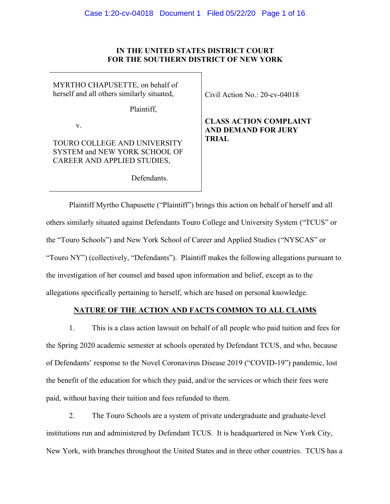## **IN THE UNITED STATES DISTRICT COURT FOR THE SOUTHERN DISTRICT OF NEW YORK**

MYRTHO CHAPUSETTE, on behalf of herself and all others similarly situated,

Plaintiff,

v.

TOURO COLLEGE AND UNIVERSITY SYSTEM and NEW YORK SCHOOL OF CAREER AND APPLIED STUDIES,

Defendants.

Civil Action No.: 20-cv-04018

**CLASS ACTION COMPLAINT AND DEMAND FOR JURY TRIAL**

Plaintiff Myrtho Chapusette ("Plaintiff") brings this action on behalf of herself and all others similarly situated against Defendants Touro College and University System ("TCUS" or the "Touro Schools") and New York School of Career and Applied Studies ("NYSCAS" or "Touro NY") (collectively, "Defendants"). Plaintiff makes the following allegations pursuant to the investigation of her counsel and based upon information and belief, except as to the allegations specifically pertaining to herself, which are based on personal knowledge.

# **NATURE OF THE ACTION AND FACTS COMMON TO ALL CLAIMS**

1. This is a class action lawsuit on behalf of all people who paid tuition and fees for the Spring 2020 academic semester at schools operated by Defendant TCUS, and who, because of Defendants' response to the Novel Coronavirus Disease 2019 ("COVID-19") pandemic, lost the benefit of the education for which they paid, and/or the services or which their fees were paid, without having their tuition and fees refunded to them.

2. The Touro Schools are a system of private undergraduate and graduate-level institutions run and administered by Defendant TCUS. It is headquartered in New York City, New York, with branches throughout the United States and in three other countries. TCUS has a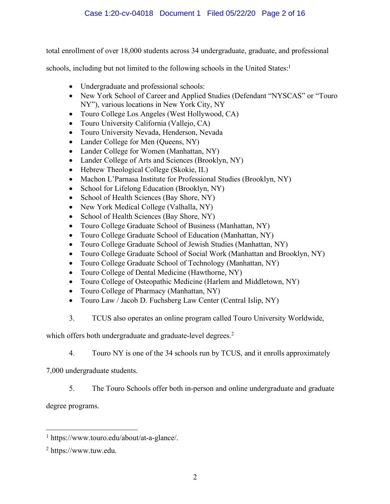total enrollment of over 18,000 students across 34 undergraduate, graduate, and professional

schools, including but not limited to the following schools in the United States:<sup>1</sup>

- Undergraduate and professional schools:
- New York School of Career and Applied Studies (Defendant "NYSCAS" or "Touro" NY"), various locations in New York City, NY
- Touro College Los Angeles (West Hollywood, CA)
- Touro University California (Vallejo, CA)
- Touro University Nevada, Henderson, Nevada
- Lander College for Men (Queens, NY)
- Lander College for Women (Manhattan, NY)
- Lander College of Arts and Sciences (Brooklyn, NY)
- Hebrew Theological College (Skokie, IL)
- Machon L'Parnasa Institute for Professional Studies (Brooklyn, NY)
- School for Lifelong Education (Brooklyn, NY)
- School of Health Sciences (Bay Shore, NY)
- New York Medical College (Valhalla, NY)
- School of Health Sciences (Bay Shore, NY)
- Touro College Graduate School of Business (Manhattan, NY)
- Touro College Graduate School of Education (Manhattan, NY)
- Touro College Graduate School of Jewish Studies (Manhattan, NY)
- Touro College Graduate School of Social Work (Manhattan and Brooklyn, NY)
- Touro College Graduate School of Technology (Manhattan, NY)
- Touro College of Dental Medicine (Hawthorne, NY)
- Touro College of Osteopathic Medicine (Harlem and Middletown, NY)
- Touro College of Pharmacy (Manhattan, NY)
- Touro Law / Jacob D. Fuchsberg Law Center (Central Islip, NY)
- 3. TCUS also operates an online program called Touro University Worldwide,

which offers both undergraduate and graduate-level degrees.<sup>2</sup>

4. Touro NY is one of the 34 schools run by TCUS, and it enrolls approximately

7,000 undergraduate students.

5. The Touro Schools offer both in-person and online undergraduate and graduate

degree programs.

 <sup>1</sup> https://www.touro.edu/about/at-a-glance/.

<sup>2</sup> https://www.tuw.edu.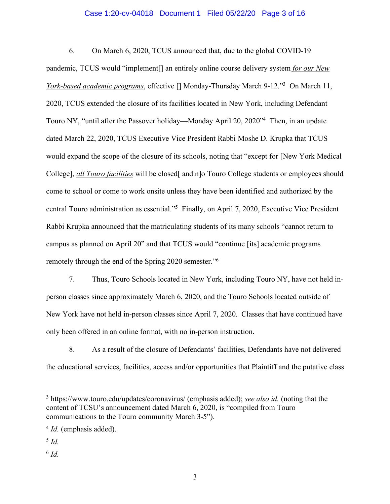### Case 1:20-cv-04018 Document 1 Filed 05/22/20 Page 3 of 16

6. On March 6, 2020, TCUS announced that, due to the global COVID-19

pandemic, TCUS would "implement[] an entirely online course delivery system *for our New York-based academic programs*, effective [] Monday-Thursday March 9-12."3 On March 11, 2020, TCUS extended the closure of its facilities located in New York, including Defendant Touro NY, "until after the Passover holiday—Monday April 20, 2020"4 Then, in an update dated March 22, 2020, TCUS Executive Vice President Rabbi Moshe D. Krupka that TCUS would expand the scope of the closure of its schools, noting that "except for [New York Medical College], *all Touro facilities* will be closed[ and n]o Touro College students or employees should come to school or come to work onsite unless they have been identified and authorized by the central Touro administration as essential."5 Finally, on April 7, 2020, Executive Vice President Rabbi Krupka announced that the matriculating students of its many schools "cannot return to campus as planned on April 20" and that TCUS would "continue [its] academic programs remotely through the end of the Spring 2020 semester."6

7. Thus, Touro Schools located in New York, including Touro NY, have not held inperson classes since approximately March 6, 2020, and the Touro Schools located outside of New York have not held in-person classes since April 7, 2020. Classes that have continued have only been offered in an online format, with no in-person instruction.

8. As a result of the closure of Defendants' facilities, Defendants have not delivered the educational services, facilities, access and/or opportunities that Plaintiff and the putative class

- <sup>5</sup> *Id.*
- $6$  *Id.*

 <sup>3</sup> https://www.touro.edu/updates/coronavirus/ (emphasis added); *see also id.* (noting that the content of TCSU's announcement dated March 6, 2020, is "compiled from Touro communications to the Touro community March 3-5").

<sup>4</sup> *Id.* (emphasis added).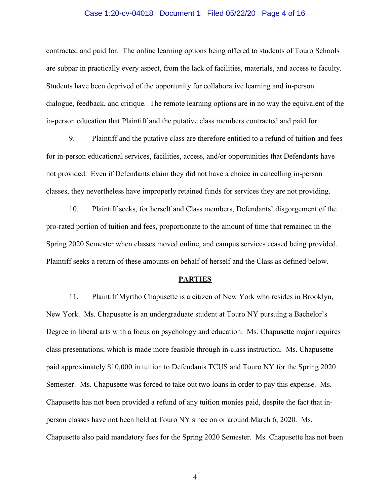#### Case 1:20-cv-04018 Document 1 Filed 05/22/20 Page 4 of 16

contracted and paid for. The online learning options being offered to students of Touro Schools are subpar in practically every aspect, from the lack of facilities, materials, and access to faculty. Students have been deprived of the opportunity for collaborative learning and in-person dialogue, feedback, and critique. The remote learning options are in no way the equivalent of the in-person education that Plaintiff and the putative class members contracted and paid for.

9. Plaintiff and the putative class are therefore entitled to a refund of tuition and fees for in-person educational services, facilities, access, and/or opportunities that Defendants have not provided. Even if Defendants claim they did not have a choice in cancelling in-person classes, they nevertheless have improperly retained funds for services they are not providing.

10. Plaintiff seeks, for herself and Class members, Defendants' disgorgement of the pro-rated portion of tuition and fees, proportionate to the amount of time that remained in the Spring 2020 Semester when classes moved online, and campus services ceased being provided. Plaintiff seeks a return of these amounts on behalf of herself and the Class as defined below.

#### **PARTIES**

11. Plaintiff Myrtho Chapusette is a citizen of New York who resides in Brooklyn, New York. Ms. Chapusette is an undergraduate student at Touro NY pursuing a Bachelor's Degree in liberal arts with a focus on psychology and education. Ms. Chapusette major requires class presentations, which is made more feasible through in-class instruction. Ms. Chapusette paid approximately \$10,000 in tuition to Defendants TCUS and Touro NY for the Spring 2020 Semester. Ms. Chapusette was forced to take out two loans in order to pay this expense. Ms. Chapusette has not been provided a refund of any tuition monies paid, despite the fact that inperson classes have not been held at Touro NY since on or around March 6, 2020. Ms. Chapusette also paid mandatory fees for the Spring 2020 Semester. Ms. Chapusette has not been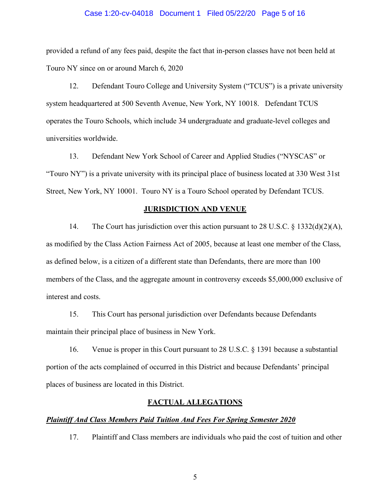#### Case 1:20-cv-04018 Document 1 Filed 05/22/20 Page 5 of 16

provided a refund of any fees paid, despite the fact that in-person classes have not been held at Touro NY since on or around March 6, 2020

12. Defendant Touro College and University System ("TCUS") is a private university system headquartered at 500 Seventh Avenue, New York, NY 10018. Defendant TCUS operates the Touro Schools, which include 34 undergraduate and graduate-level colleges and universities worldwide.

13. Defendant New York School of Career and Applied Studies ("NYSCAS" or "Touro NY") is a private university with its principal place of business located at 330 West 31st Street, New York, NY 10001. Touro NY is a Touro School operated by Defendant TCUS.

#### **JURISDICTION AND VENUE**

14. The Court has jurisdiction over this action pursuant to 28 U.S.C. § 1332(d)(2)(A), as modified by the Class Action Fairness Act of 2005, because at least one member of the Class, as defined below, is a citizen of a different state than Defendants, there are more than 100 members of the Class, and the aggregate amount in controversy exceeds \$5,000,000 exclusive of interest and costs.

15. This Court has personal jurisdiction over Defendants because Defendants maintain their principal place of business in New York.

16. Venue is proper in this Court pursuant to 28 U.S.C. § 1391 because a substantial portion of the acts complained of occurred in this District and because Defendants' principal places of business are located in this District.

### **FACTUAL ALLEGATIONS**

### *Plaintiff And Class Members Paid Tuition And Fees For Spring Semester 2020*

17. Plaintiff and Class members are individuals who paid the cost of tuition and other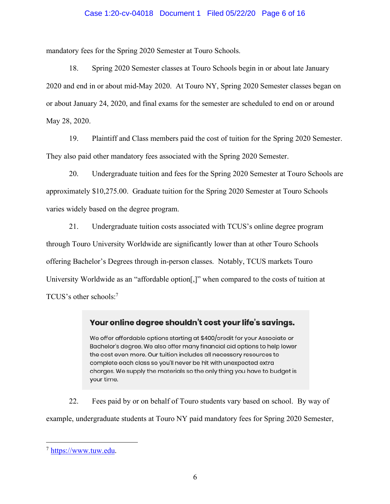### Case 1:20-cv-04018 Document 1 Filed 05/22/20 Page 6 of 16

mandatory fees for the Spring 2020 Semester at Touro Schools.

18. Spring 2020 Semester classes at Touro Schools begin in or about late January 2020 and end in or about mid-May 2020. At Touro NY, Spring 2020 Semester classes began on or about January 24, 2020, and final exams for the semester are scheduled to end on or around May 28, 2020.

19. Plaintiff and Class members paid the cost of tuition for the Spring 2020 Semester. They also paid other mandatory fees associated with the Spring 2020 Semester.

20. Undergraduate tuition and fees for the Spring 2020 Semester at Touro Schools are approximately \$10,275.00. Graduate tuition for the Spring 2020 Semester at Touro Schools varies widely based on the degree program.

21. Undergraduate tuition costs associated with TCUS's online degree program through Touro University Worldwide are significantly lower than at other Touro Schools offering Bachelor's Degrees through in-person classes. Notably, TCUS markets Touro University Worldwide as an "affordable option[,]" when compared to the costs of tuition at TCUS's other schools:7

# Your online degree shouldn't cost your life's savings.

We offer affordable options starting at \$400/credit for your Associate or Bachelor's degree. We also offer many financial aid options to help lower the cost even more. Our tuition includes all necessary resources to complete each class so you'll never be hit with unexpected extra charges. We supply the materials so the only thing you have to budget is your time.

22. Fees paid by or on behalf of Touro students vary based on school. By way of example, undergraduate students at Touro NY paid mandatory fees for Spring 2020 Semester,

 <sup>7</sup> https://www.tuw.edu.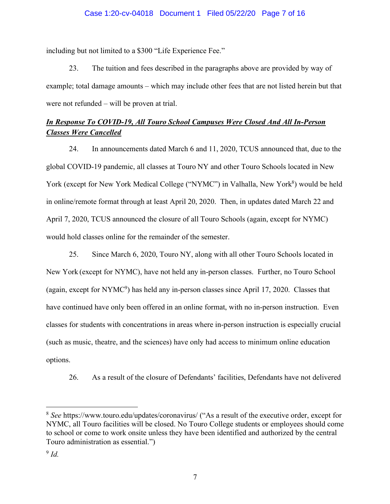including but not limited to a \$300 "Life Experience Fee."

23. The tuition and fees described in the paragraphs above are provided by way of example; total damage amounts – which may include other fees that are not listed herein but that were not refunded – will be proven at trial.

# *In Response To COVID-19, All Touro School Campuses Were Closed And All In-Person Classes Were Cancelled*

24. In announcements dated March 6 and 11, 2020, TCUS announced that, due to the global COVID-19 pandemic, all classes at Touro NY and other Touro Schools located in New York (except for New York Medical College ("NYMC") in Valhalla, New York<sup>8</sup>) would be held in online/remote format through at least April 20, 2020. Then, in updates dated March 22 and April 7, 2020, TCUS announced the closure of all Touro Schools (again, except for NYMC) would hold classes online for the remainder of the semester.

25. Since March 6, 2020, Touro NY, along with all other Touro Schools located in New York (except for NYMC), have not held any in-person classes. Further, no Touro School (again, except for  $NYMC<sup>9</sup>$ ) has held any in-person classes since April 17, 2020. Classes that have continued have only been offered in an online format, with no in-person instruction. Even classes for students with concentrations in areas where in-person instruction is especially crucial (such as music, theatre, and the sciences) have only had access to minimum online education options.

26. As a result of the closure of Defendants' facilities, Defendants have not delivered

 <sup>8</sup> *See* https://www.touro.edu/updates/coronavirus/ ("As a result of the executive order, except for NYMC, all Touro facilities will be closed. No Touro College students or employees should come to school or come to work onsite unless they have been identified and authorized by the central Touro administration as essential.")

<sup>9</sup> *Id.*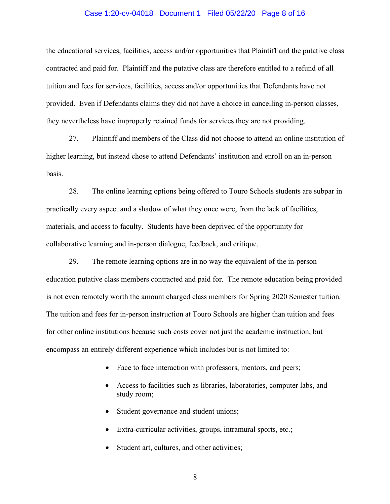#### Case 1:20-cv-04018 Document 1 Filed 05/22/20 Page 8 of 16

the educational services, facilities, access and/or opportunities that Plaintiff and the putative class contracted and paid for. Plaintiff and the putative class are therefore entitled to a refund of all tuition and fees for services, facilities, access and/or opportunities that Defendants have not provided. Even if Defendants claims they did not have a choice in cancelling in-person classes, they nevertheless have improperly retained funds for services they are not providing.

27. Plaintiff and members of the Class did not choose to attend an online institution of higher learning, but instead chose to attend Defendants' institution and enroll on an in-person basis.

28. The online learning options being offered to Touro Schools students are subpar in practically every aspect and a shadow of what they once were, from the lack of facilities, materials, and access to faculty. Students have been deprived of the opportunity for collaborative learning and in-person dialogue, feedback, and critique.

29. The remote learning options are in no way the equivalent of the in-person education putative class members contracted and paid for. The remote education being provided is not even remotely worth the amount charged class members for Spring 2020 Semester tuition. The tuition and fees for in-person instruction at Touro Schools are higher than tuition and fees for other online institutions because such costs cover not just the academic instruction, but encompass an entirely different experience which includes but is not limited to:

- Face to face interaction with professors, mentors, and peers;
- Access to facilities such as libraries, laboratories, computer labs, and study room;
- Student governance and student unions;
- Extra-curricular activities, groups, intramural sports, etc.;
- Student art, cultures, and other activities;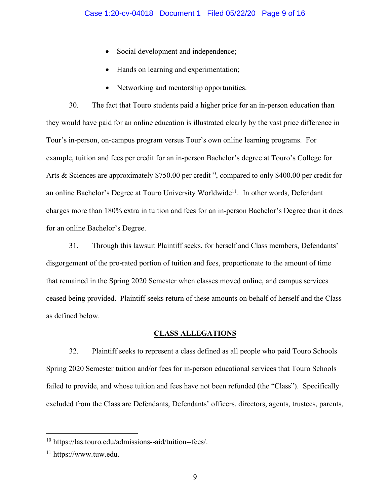- Social development and independence;
- Hands on learning and experimentation;
- Networking and mentorship opportunities.

30. The fact that Touro students paid a higher price for an in-person education than they would have paid for an online education is illustrated clearly by the vast price difference in Tour's in-person, on-campus program versus Tour's own online learning programs. For example, tuition and fees per credit for an in-person Bachelor's degree at Touro's College for Arts & Sciences are approximately \$750.00 per credit<sup>10</sup>, compared to only \$400.00 per credit for an online Bachelor's Degree at Touro University Worldwide<sup>11</sup>. In other words, Defendant charges more than 180% extra in tuition and fees for an in-person Bachelor's Degree than it does for an online Bachelor's Degree.

31. Through this lawsuit Plaintiff seeks, for herself and Class members, Defendants' disgorgement of the pro-rated portion of tuition and fees, proportionate to the amount of time that remained in the Spring 2020 Semester when classes moved online, and campus services ceased being provided. Plaintiff seeks return of these amounts on behalf of herself and the Class as defined below.

## **CLASS ALLEGATIONS**

32. Plaintiff seeks to represent a class defined as all people who paid Touro Schools Spring 2020 Semester tuition and/or fees for in-person educational services that Touro Schools failed to provide, and whose tuition and fees have not been refunded (the "Class"). Specifically excluded from the Class are Defendants, Defendants' officers, directors, agents, trustees, parents,

 <sup>10</sup> https://las.touro.edu/admissions--aid/tuition--fees/.

<sup>11</sup> https://www.tuw.edu.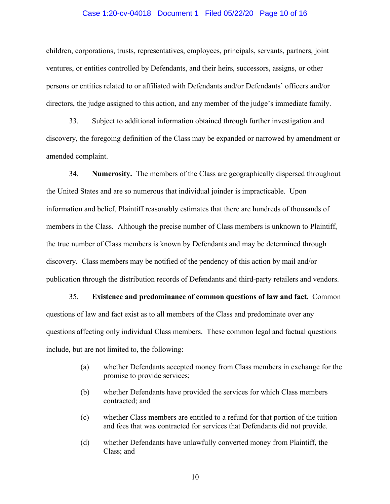#### Case 1:20-cv-04018 Document 1 Filed 05/22/20 Page 10 of 16

children, corporations, trusts, representatives, employees, principals, servants, partners, joint ventures, or entities controlled by Defendants, and their heirs, successors, assigns, or other persons or entities related to or affiliated with Defendants and/or Defendants' officers and/or directors, the judge assigned to this action, and any member of the judge's immediate family.

33. Subject to additional information obtained through further investigation and discovery, the foregoing definition of the Class may be expanded or narrowed by amendment or amended complaint.

34. **Numerosity.** The members of the Class are geographically dispersed throughout the United States and are so numerous that individual joinder is impracticable. Upon information and belief, Plaintiff reasonably estimates that there are hundreds of thousands of members in the Class. Although the precise number of Class members is unknown to Plaintiff, the true number of Class members is known by Defendants and may be determined through discovery. Class members may be notified of the pendency of this action by mail and/or publication through the distribution records of Defendants and third-party retailers and vendors.

35. **Existence and predominance of common questions of law and fact.** Common questions of law and fact exist as to all members of the Class and predominate over any questions affecting only individual Class members. These common legal and factual questions include, but are not limited to, the following:

- (a) whether Defendants accepted money from Class members in exchange for the promise to provide services;
- (b) whether Defendants have provided the services for which Class members contracted; and
- (c) whether Class members are entitled to a refund for that portion of the tuition and fees that was contracted for services that Defendants did not provide.
- (d) whether Defendants have unlawfully converted money from Plaintiff, the Class; and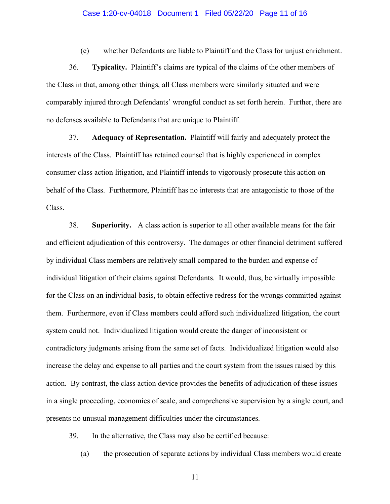#### Case 1:20-cv-04018 Document 1 Filed 05/22/20 Page 11 of 16

(e) whether Defendants are liable to Plaintiff and the Class for unjust enrichment.

36. **Typicality.** Plaintiff's claims are typical of the claims of the other members of the Class in that, among other things, all Class members were similarly situated and were comparably injured through Defendants' wrongful conduct as set forth herein. Further, there are no defenses available to Defendants that are unique to Plaintiff.

37. **Adequacy of Representation.** Plaintiff will fairly and adequately protect the interests of the Class. Plaintiff has retained counsel that is highly experienced in complex consumer class action litigation, and Plaintiff intends to vigorously prosecute this action on behalf of the Class. Furthermore, Plaintiff has no interests that are antagonistic to those of the Class.

38. **Superiority.** A class action is superior to all other available means for the fair and efficient adjudication of this controversy. The damages or other financial detriment suffered by individual Class members are relatively small compared to the burden and expense of individual litigation of their claims against Defendants. It would, thus, be virtually impossible for the Class on an individual basis, to obtain effective redress for the wrongs committed against them. Furthermore, even if Class members could afford such individualized litigation, the court system could not. Individualized litigation would create the danger of inconsistent or contradictory judgments arising from the same set of facts. Individualized litigation would also increase the delay and expense to all parties and the court system from the issues raised by this action. By contrast, the class action device provides the benefits of adjudication of these issues in a single proceeding, economies of scale, and comprehensive supervision by a single court, and presents no unusual management difficulties under the circumstances.

39. In the alternative, the Class may also be certified because:

(a) the prosecution of separate actions by individual Class members would create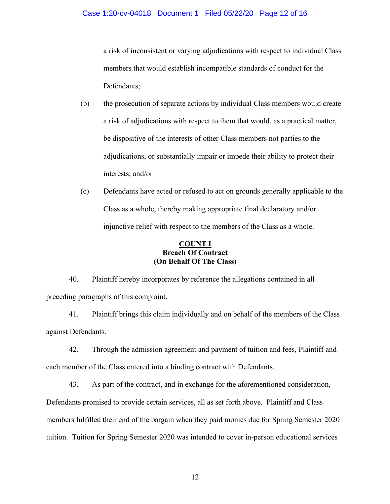a risk of inconsistent or varying adjudications with respect to individual Class members that would establish incompatible standards of conduct for the Defendants;

- (b) the prosecution of separate actions by individual Class members would create a risk of adjudications with respect to them that would, as a practical matter, be dispositive of the interests of other Class members not parties to the adjudications, or substantially impair or impede their ability to protect their interests; and/or
- (c) Defendants have acted or refused to act on grounds generally applicable to the Class as a whole, thereby making appropriate final declaratory and/or injunctive relief with respect to the members of the Class as a whole.

## **COUNT I Breach Of Contract (On Behalf Of The Class)**

40. Plaintiff hereby incorporates by reference the allegations contained in all preceding paragraphs of this complaint.

41. Plaintiff brings this claim individually and on behalf of the members of the Class against Defendants.

42. Through the admission agreement and payment of tuition and fees, Plaintiff and each member of the Class entered into a binding contract with Defendants.

43. As part of the contract, and in exchange for the aforementioned consideration, Defendants promised to provide certain services, all as set forth above. Plaintiff and Class members fulfilled their end of the bargain when they paid monies due for Spring Semester 2020 tuition. Tuition for Spring Semester 2020 was intended to cover in-person educational services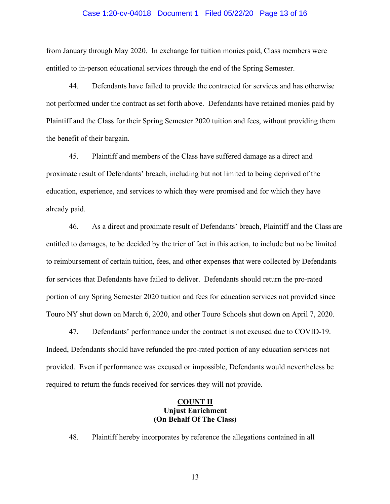#### Case 1:20-cv-04018 Document 1 Filed 05/22/20 Page 13 of 16

from January through May 2020. In exchange for tuition monies paid, Class members were entitled to in-person educational services through the end of the Spring Semester.

44. Defendants have failed to provide the contracted for services and has otherwise not performed under the contract as set forth above. Defendants have retained monies paid by Plaintiff and the Class for their Spring Semester 2020 tuition and fees, without providing them the benefit of their bargain.

45. Plaintiff and members of the Class have suffered damage as a direct and proximate result of Defendants' breach, including but not limited to being deprived of the education, experience, and services to which they were promised and for which they have already paid.

46. As a direct and proximate result of Defendants' breach, Plaintiff and the Class are entitled to damages, to be decided by the trier of fact in this action, to include but no be limited to reimbursement of certain tuition, fees, and other expenses that were collected by Defendants for services that Defendants have failed to deliver. Defendants should return the pro-rated portion of any Spring Semester 2020 tuition and fees for education services not provided since Touro NY shut down on March 6, 2020, and other Touro Schools shut down on April 7, 2020.

47. Defendants' performance under the contract is not excused due to COVID-19. Indeed, Defendants should have refunded the pro-rated portion of any education services not provided. Even if performance was excused or impossible, Defendants would nevertheless be required to return the funds received for services they will not provide.

### **COUNT II Unjust Enrichment (On Behalf Of The Class)**

48. Plaintiff hereby incorporates by reference the allegations contained in all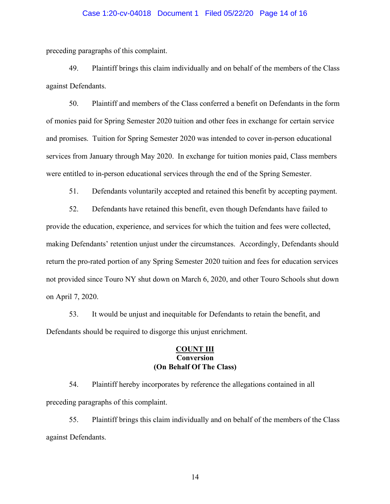#### Case 1:20-cv-04018 Document 1 Filed 05/22/20 Page 14 of 16

preceding paragraphs of this complaint.

49. Plaintiff brings this claim individually and on behalf of the members of the Class against Defendants.

50. Plaintiff and members of the Class conferred a benefit on Defendants in the form of monies paid for Spring Semester 2020 tuition and other fees in exchange for certain service and promises. Tuition for Spring Semester 2020 was intended to cover in-person educational services from January through May 2020. In exchange for tuition monies paid, Class members were entitled to in-person educational services through the end of the Spring Semester.

51. Defendants voluntarily accepted and retained this benefit by accepting payment.

52. Defendants have retained this benefit, even though Defendants have failed to provide the education, experience, and services for which the tuition and fees were collected, making Defendants' retention unjust under the circumstances. Accordingly, Defendants should return the pro-rated portion of any Spring Semester 2020 tuition and fees for education services not provided since Touro NY shut down on March 6, 2020, and other Touro Schools shut down on April 7, 2020.

53. It would be unjust and inequitable for Defendants to retain the benefit, and Defendants should be required to disgorge this unjust enrichment.

### **COUNT III Conversion (On Behalf Of The Class)**

54. Plaintiff hereby incorporates by reference the allegations contained in all preceding paragraphs of this complaint.

55. Plaintiff brings this claim individually and on behalf of the members of the Class against Defendants.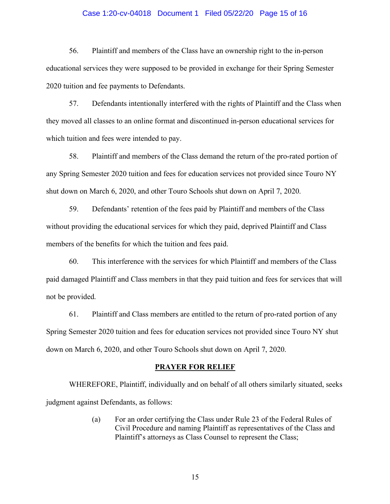#### Case 1:20-cv-04018 Document 1 Filed 05/22/20 Page 15 of 16

56. Plaintiff and members of the Class have an ownership right to the in-person educational services they were supposed to be provided in exchange for their Spring Semester 2020 tuition and fee payments to Defendants.

57. Defendants intentionally interfered with the rights of Plaintiff and the Class when they moved all classes to an online format and discontinued in-person educational services for which tuition and fees were intended to pay.

58. Plaintiff and members of the Class demand the return of the pro-rated portion of any Spring Semester 2020 tuition and fees for education services not provided since Touro NY shut down on March 6, 2020, and other Touro Schools shut down on April 7, 2020.

59. Defendants' retention of the fees paid by Plaintiff and members of the Class without providing the educational services for which they paid, deprived Plaintiff and Class members of the benefits for which the tuition and fees paid.

60. This interference with the services for which Plaintiff and members of the Class paid damaged Plaintiff and Class members in that they paid tuition and fees for services that will not be provided.

61. Plaintiff and Class members are entitled to the return of pro-rated portion of any Spring Semester 2020 tuition and fees for education services not provided since Touro NY shut down on March 6, 2020, and other Touro Schools shut down on April 7, 2020.

#### **PRAYER FOR RELIEF**

WHEREFORE, Plaintiff, individually and on behalf of all others similarly situated, seeks judgment against Defendants, as follows:

> (a) For an order certifying the Class under Rule 23 of the Federal Rules of Civil Procedure and naming Plaintiff as representatives of the Class and Plaintiff's attorneys as Class Counsel to represent the Class;